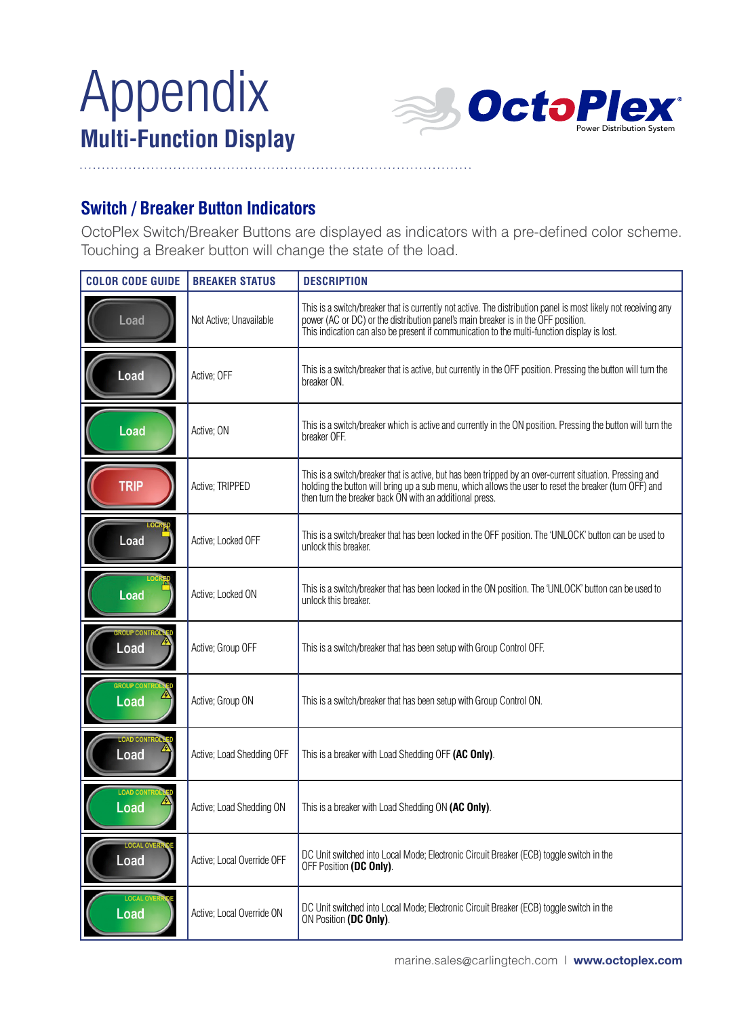# Appendix



## **Switch / Breaker Button Indicators**

OctoPlex Switch/Breaker Buttons are displayed as indicators with a pre-defined color scheme. Touching a Breaker button will change the state of the load.

| <b>COLOR CODE GUIDE</b><br><b>BREAKER STATUS</b> |                            | <b>DESCRIPTION</b>                                                                                                                                                                                                                                                                                 |  |
|--------------------------------------------------|----------------------------|----------------------------------------------------------------------------------------------------------------------------------------------------------------------------------------------------------------------------------------------------------------------------------------------------|--|
| Load                                             | Not Active; Unavailable    | This is a switch/breaker that is currently not active. The distribution panel is most likely not receiving any<br>power (AC or DC) or the distribution panel's main breaker is in the OFF position.<br>This indication can also be present if communication to the multi-function display is lost. |  |
| Load                                             | Active: OFF                | This is a switch/breaker that is active, but currently in the OFF position. Pressing the button will turn the<br>breaker ON.                                                                                                                                                                       |  |
| Load                                             | Active; ON                 | This is a switch/breaker which is active and currently in the ON position. Pressing the button will turn the<br>breaker OFF.                                                                                                                                                                       |  |
| <b>TRIP</b>                                      | Active; TRIPPED            | This is a switch/breaker that is active, but has been tripped by an over-current situation. Pressing and<br>holding the button will bring up a sub menu, which allows the user to reset the breaker (turn OFF) and<br>then turn the breaker back ON with an additional press.                      |  |
| Load                                             | Active; Locked OFF         | This is a switch/breaker that has been locked in the OFF position. The 'UNLOCK' button can be used to<br>unlock this breaker.                                                                                                                                                                      |  |
| Load                                             | Active: Locked ON          | This is a switch/breaker that has been locked in the ON position. The 'UNLOCK' button can be used to<br>unlock this breaker.                                                                                                                                                                       |  |
| <b>OUP CONTR</b><br>Load                         | Active: Group OFF          | This is a switch/breaker that has been setup with Group Control OFF.                                                                                                                                                                                                                               |  |
| <b>GROUP CO</b><br>Load                          | Active; Group ON           | This is a switch/breaker that has been setup with Group Control ON.                                                                                                                                                                                                                                |  |
| OAD <sub>CO</sub><br>Load                        | Active; Load Shedding OFF  | This is a breaker with Load Shedding OFF (AC Only).                                                                                                                                                                                                                                                |  |
| <b>LOAD CO</b><br>Load                           | Active; Load Shedding ON   | This is a breaker with Load Shedding ON (AC Only).                                                                                                                                                                                                                                                 |  |
| <b>LOCAL OV</b><br>Load                          | Active; Local Override OFF | DC Unit switched into Local Mode; Electronic Circuit Breaker (ECB) toggle switch in the<br>OFF Position (DC Only).                                                                                                                                                                                 |  |
| Load                                             | Active: Local Override ON  | DC Unit switched into Local Mode; Electronic Circuit Breaker (ECB) toggle switch in the<br>ON Position (DC Only).                                                                                                                                                                                  |  |